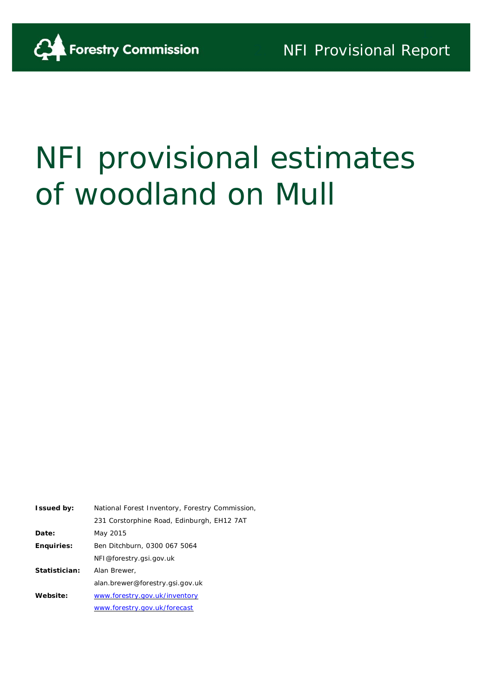# NFI provisional estimates of woodland on Mull

| <b>Issued by:</b> | National Forest Inventory, Forestry Commission, |  |  |  |  |
|-------------------|-------------------------------------------------|--|--|--|--|
|                   | 231 Corstorphine Road, Edinburgh, EH12 7AT      |  |  |  |  |
| Date:             | May 2015                                        |  |  |  |  |
| <b>Enquiries:</b> | Ben Ditchburn, 0300 067 5064                    |  |  |  |  |
|                   | NFI@forestry.gsi.gov.uk                         |  |  |  |  |
| Statistician:     | Alan Brewer.                                    |  |  |  |  |
|                   | alan.brewer@forestry.gsi.gov.uk                 |  |  |  |  |
| Website:          | www.forestry.gov.uk/inventory                   |  |  |  |  |
|                   | www.forestry.gov.uk/forecast                    |  |  |  |  |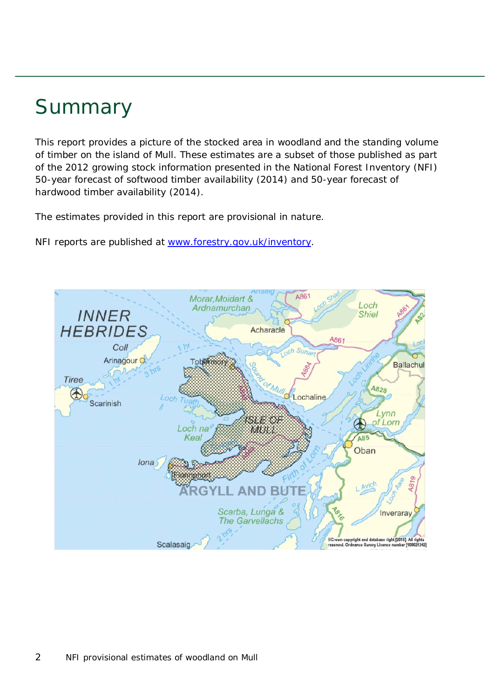### Summary

This report provides a picture of the stocked area in woodland and the standing volume of timber on the island of Mull. These estimates are a subset of those published as part of the 2012 growing stock information presented in the National Forest Inventory (NFI) *50-year forecast of softwood timber availability* (2014) and *50-year forecast of hardwood timber availability* (2014).

The estimates provided in this report are provisional in nature.

NFI reports are published at [www.forestry.gov.uk/inventory.](http://www.forestry.gov.uk/inventory)

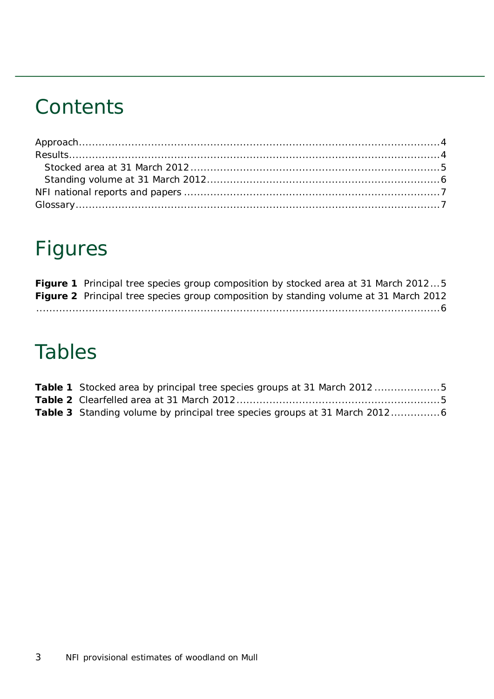### **Contents**

## Figures

|  |  |  | <b>Figure 1</b> Principal tree species group composition by stocked area at 31 March 20125   |  |
|--|--|--|----------------------------------------------------------------------------------------------|--|
|  |  |  | <b>Figure 2</b> Principal tree species group composition by standing volume at 31 March 2012 |  |
|  |  |  |                                                                                              |  |

### Tables

| <b>Table 1</b> Stocked area by principal tree species groups at 31 March 20125 |  |
|--------------------------------------------------------------------------------|--|
|                                                                                |  |
|                                                                                |  |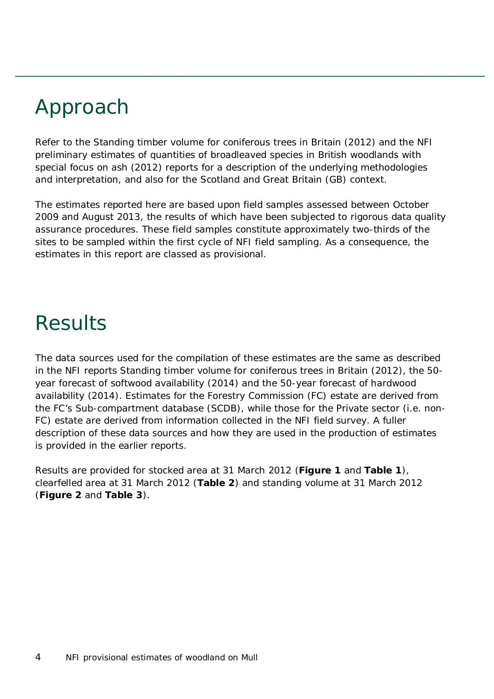# <span id="page-3-0"></span>Approach

Refer to the *Standing timber volume for coniferous trees in Britain* (2012) and the *NFI preliminary estimates of quantities of broadleaved species in British woodlands with special focus on ash* (2012) reports for a description of the underlying methodologies and interpretation, and also for the Scotland and Great Britain (GB) context.

The estimates reported here are based upon field samples assessed between October 2009 and August 2013, the results of which have been subjected to rigorous data quality assurance procedures. These field samples constitute approximately two-thirds of the sites to be sampled within the first cycle of NFI field sampling. As a consequence, the estimates in this report are classed as provisional.

### <span id="page-3-1"></span>Results

The data sources used for the compilation of these estimates are the same as described in the NFI reports *Standing timber volume for coniferous trees in Britain* (2012), the *50 year forecast of softwood availability* (2014) and the *50-year forecast of hardwood availability* (2014). Estimates for the Forestry Commission (FC) estate are derived from the FC's Sub-compartment database (SCDB), while those for the Private sector (i.e. non-FC) estate are derived from information collected in the NFI field survey. A fuller description of these data sources and how they are used in the production of estimates is provided in the earlier reports.

Results are provided for stocked area at 31 March 2012 (**Figure 1** and **Table 1**), clearfelled area at 31 March 2012 (**Table 2**) and standing volume at 31 March 2012 (**Figure 2** and **Table 3**).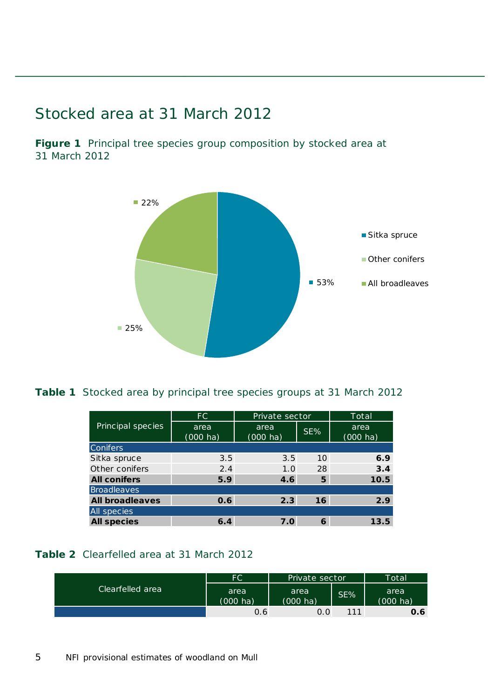#### <span id="page-4-0"></span>Stocked area at 31 March 2012

<span id="page-4-1"></span>**Figure 1** Principal tree species group composition by stocked area at 31 March 2012



#### <span id="page-4-2"></span>**Table 1** Stocked area by principal tree species groups at 31 March 2012

|                        | FC.                | Private sector     |     | Total              |
|------------------------|--------------------|--------------------|-----|--------------------|
| Principal species      | area               | area               | SE% | area               |
|                        | $(000 \text{ ha})$ | $(000 \text{ ha})$ |     | $(000 \text{ ha})$ |
| <b>Conifers</b>        |                    |                    |     |                    |
| Sitka spruce           | 3.5                | 3.5                | 10  | 6.9                |
| Other conifers         | 2.4                | 1.0                | 28  | 3.4                |
| <b>All conifers</b>    | 5.9                | 4.6                | 5   | 10.5               |
| Broadleaves            |                    |                    |     |                    |
| <b>All broadleaves</b> | 0.6                | 2.3                | 16  | 2.9                |
| <b>All species</b>     |                    |                    |     |                    |
| <b>All species</b>     | 6.4                | 7.0                | 6   | 13.5               |

#### <span id="page-4-3"></span>**Table 2** Clearfelled area at 31 March 2012

|                  | FC                         | Private sector             |     | Total                      |
|------------------|----------------------------|----------------------------|-----|----------------------------|
| Clearfelled area | area<br>$(000 \text{ ha})$ | area<br>$(000 \text{ ha})$ | SE% | area<br>$(000 \text{ ha})$ |
|                  | 0.6                        | 0.0                        | 111 | 0.6                        |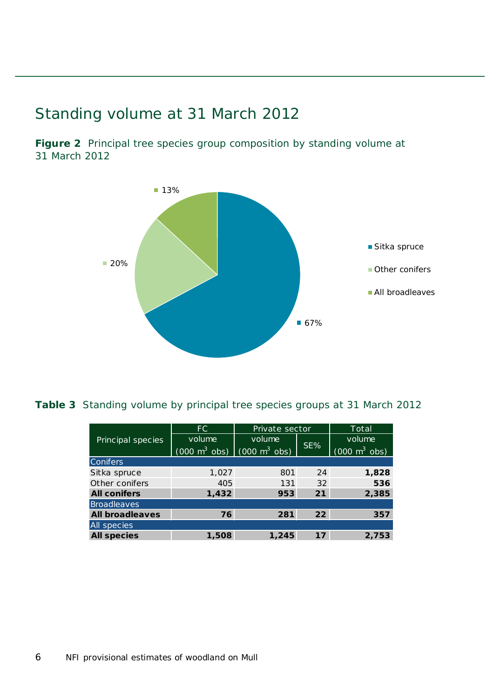### <span id="page-5-0"></span>Standing volume at 31 March 2012

<span id="page-5-1"></span>**Figure 2** Principal tree species group composition by standing volume at 31 March 2012



<span id="page-5-2"></span>**Table 3** Standing volume by principal tree species groups at 31 March 2012

|                        | FC.                             | Private sector                  | Total |                                 |
|------------------------|---------------------------------|---------------------------------|-------|---------------------------------|
| Principal species      | volume                          | volume                          | SE%   | volume                          |
|                        | $(000 \text{ m}^3 \text{ obs})$ | $(000 \text{ m}^3 \text{ obs})$ |       | $(000 \text{ m}^3 \text{ obs})$ |
| Conifers               |                                 |                                 |       |                                 |
| Sitka spruce           | 1,027                           | 801                             | 24    | 1,828                           |
| Other conifers         | 405                             | 131                             | 32    | 536                             |
| <b>All conifers</b>    | 1,432                           | 953                             | 21    | 2,385                           |
| <b>Broadleaves</b>     |                                 |                                 |       |                                 |
| <b>All broadleaves</b> | 76                              | 281                             | 22    | 357                             |
| All species            |                                 |                                 |       |                                 |
| <b>All species</b>     | 1,508                           | 1,245                           | 17    | 2,753                           |